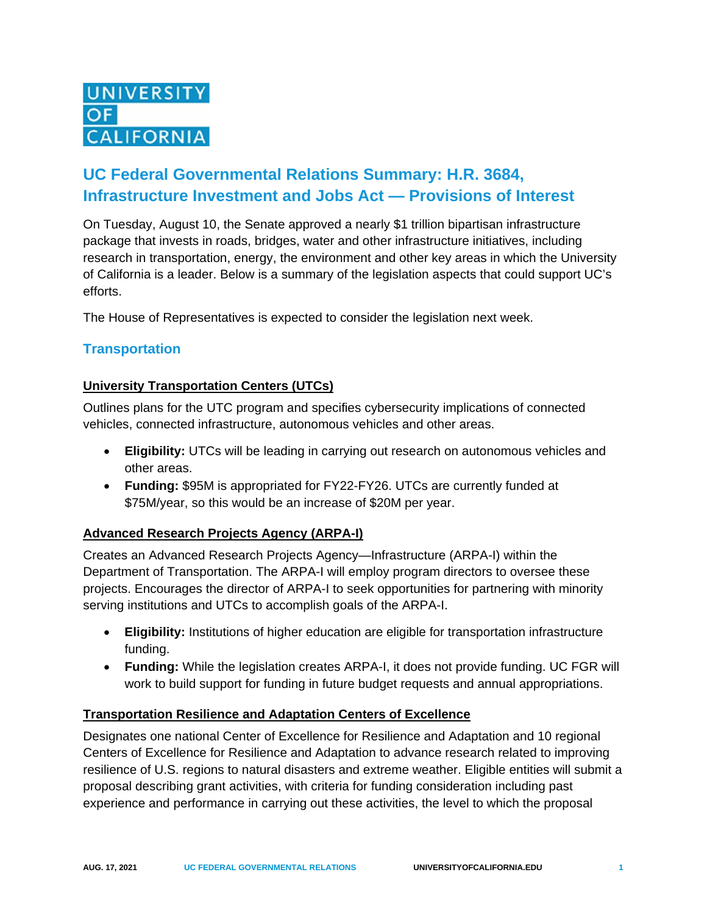

# **UC Federal Governmental Relations Summary: H.R. 3684, Infrastructure Investment and Jobs Act — Provisions of Interest**

On Tuesday, August 10, the Senate approved a nearly \$1 trillion bipartisan infrastructure package that invests in roads, bridges, water and other infrastructure initiatives, including research in transportation, energy, the environment and other key areas in which the University of California is a leader. Below is a summary of the legislation aspects that could support UC's efforts.

The House of Representatives is expected to consider the legislation next week.

#### **Transportation**

#### **University Transportation Centers (UTCs)**

Outlines plans for the UTC program and specifies cybersecurity implications of connected vehicles, connected infrastructure, autonomous vehicles and other areas.

- **Eligibility:** UTCs will be leading in carrying out research on autonomous vehicles and other areas.
- **Funding:** \$95M is appropriated for FY22-FY26. UTCs are currently funded at \$75M/year, so this would be an increase of \$20M per year.

#### **Advanced Research Projects Agency (ARPA-I)**

Creates an Advanced Research Projects Agency—Infrastructure (ARPA-I) within the Department of Transportation. The ARPA-I will employ program directors to oversee these projects. Encourages the director of ARPA-I to seek opportunities for partnering with minority serving institutions and UTCs to accomplish goals of the ARPA-I.

- **Eligibility:** Institutions of higher education are eligible for transportation infrastructure funding.
- **Funding:** While the legislation creates ARPA-I, it does not provide funding. UC FGR will work to build support for funding in future budget requests and annual appropriations.

#### **Transportation Resilience and Adaptation Centers of Excellence**

Designates one national Center of Excellence for Resilience and Adaptation and 10 regional Centers of Excellence for Resilience and Adaptation to advance research related to improving resilience of U.S. regions to natural disasters and extreme weather. Eligible entities will submit a proposal describing grant activities, with criteria for funding consideration including past experience and performance in carrying out these activities, the level to which the proposal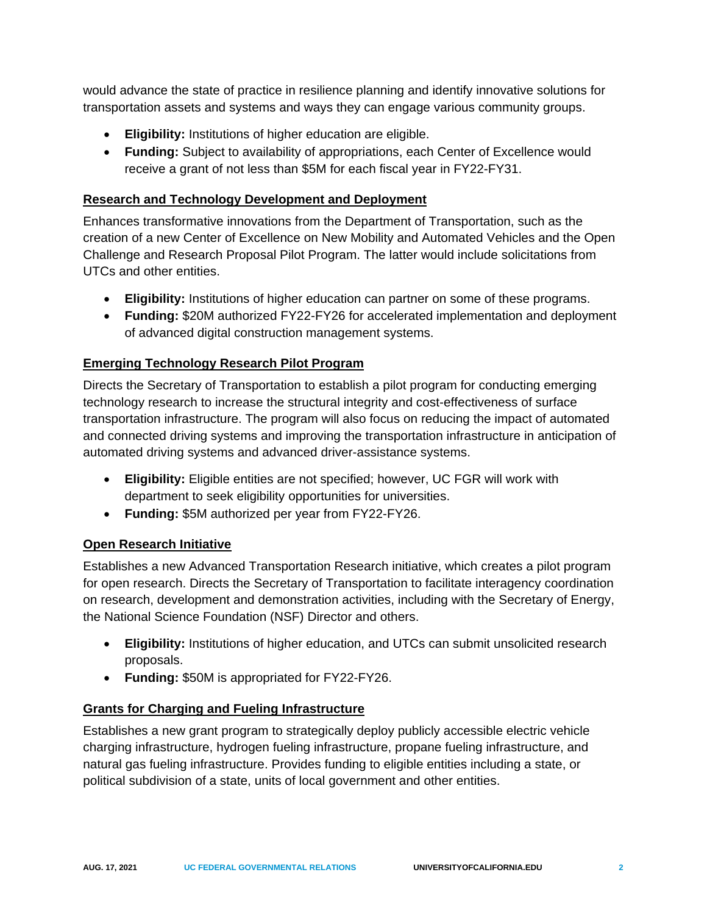would advance the state of practice in resilience planning and identify innovative solutions for transportation assets and systems and ways they can engage various community groups.

- **Eligibility:** Institutions of higher education are eligible.
- **Funding:** Subject to availability of appropriations, each Center of Excellence would receive a grant of not less than \$5M for each fiscal year in FY22-FY31.

#### **Research and Technology Development and Deployment**

Enhances transformative innovations from the Department of Transportation, such as the creation of a new Center of Excellence on New Mobility and Automated Vehicles and the Open Challenge and Research Proposal Pilot Program. The latter would include solicitations from UTCs and other entities.

- **Eligibility:** Institutions of higher education can partner on some of these programs.
- **Funding:** \$20M authorized FY22-FY26 for accelerated implementation and deployment of advanced digital construction management systems.

#### **Emerging Technology Research Pilot Program**

Directs the Secretary of Transportation to establish a pilot program for conducting emerging technology research to increase the structural integrity and cost-effectiveness of surface transportation infrastructure. The program will also focus on reducing the impact of automated and connected driving systems and improving the transportation infrastructure in anticipation of automated driving systems and advanced driver-assistance systems.

- **Eligibility:** Eligible entities are not specified; however, UC FGR will work with department to seek eligibility opportunities for universities.
- **Funding:** \$5M authorized per year from FY22-FY26.

#### **Open Research Initiative**

Establishes a new Advanced Transportation Research initiative, which creates a pilot program for open research. Directs the Secretary of Transportation to facilitate interagency coordination on research, development and demonstration activities, including with the Secretary of Energy, the National Science Foundation (NSF) Director and others.

- **Eligibility:** Institutions of higher education, and UTCs can submit unsolicited research proposals.
- **Funding:** \$50M is appropriated for FY22-FY26.

#### **Grants for Charging and Fueling Infrastructure**

Establishes a new grant program to strategically deploy publicly accessible electric vehicle charging infrastructure, hydrogen fueling infrastructure, propane fueling infrastructure, and natural gas fueling infrastructure. Provides funding to eligible entities including a state, or political subdivision of a state, units of local government and other entities.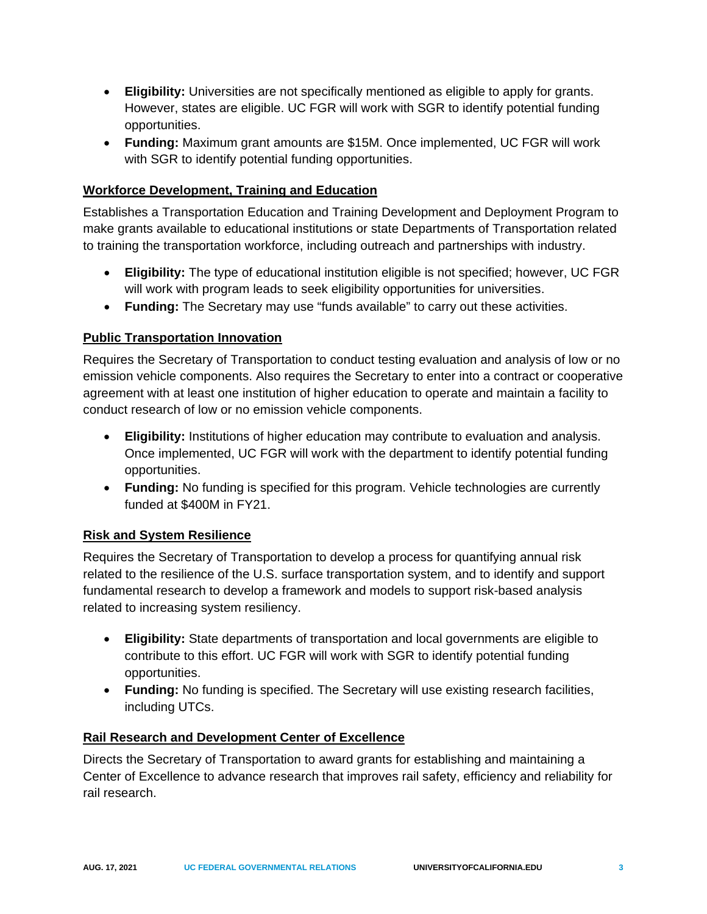- **Eligibility:** Universities are not specifically mentioned as eligible to apply for grants. However, states are eligible. UC FGR will work with SGR to identify potential funding opportunities.
- **Funding:** Maximum grant amounts are \$15M. Once implemented, UC FGR will work with SGR to identify potential funding opportunities.

#### **Workforce Development, Training and Education**

Establishes a Transportation Education and Training Development and Deployment Program to make grants available to educational institutions or state Departments of Transportation related to training the transportation workforce, including outreach and partnerships with industry.

- **Eligibility:** The type of educational institution eligible is not specified; however, UC FGR will work with program leads to seek eligibility opportunities for universities.
- **Funding:** The Secretary may use "funds available" to carry out these activities.

# **Public Transportation Innovation**

Requires the Secretary of Transportation to conduct testing evaluation and analysis of low or no emission vehicle components. Also requires the Secretary to enter into a contract or cooperative agreement with at least one institution of higher education to operate and maintain a facility to conduct research of low or no emission vehicle components.

- **Eligibility:** Institutions of higher education may contribute to evaluation and analysis. Once implemented, UC FGR will work with the department to identify potential funding opportunities.
- **Funding:** No funding is specified for this program. Vehicle technologies are currently funded at \$400M in FY21.

#### **Risk and System Resilience**

Requires the Secretary of Transportation to develop a process for quantifying annual risk related to the resilience of the U.S. surface transportation system, and to identify and support fundamental research to develop a framework and models to support risk-based analysis related to increasing system resiliency.

- **Eligibility:** State departments of transportation and local governments are eligible to contribute to this effort. UC FGR will work with SGR to identify potential funding opportunities.
- **Funding:** No funding is specified. The Secretary will use existing research facilities, including UTCs.

#### **Rail Research and Development Center of Excellence**

Directs the Secretary of Transportation to award grants for establishing and maintaining a Center of Excellence to advance research that improves rail safety, efficiency and reliability for rail research.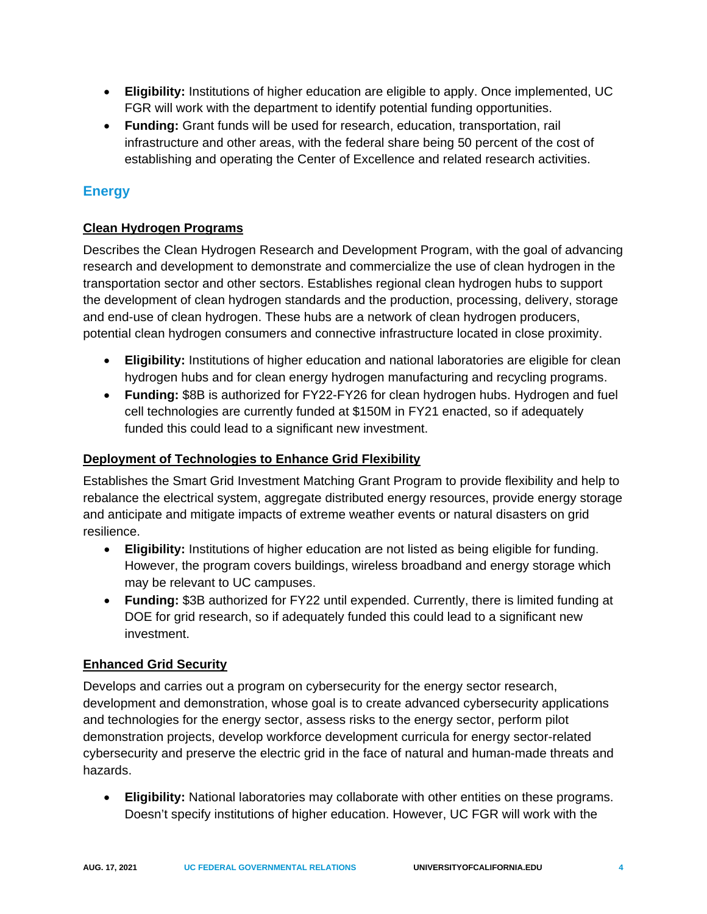- **Eligibility:** Institutions of higher education are eligible to apply. Once implemented, UC FGR will work with the department to identify potential funding opportunities.
- **Funding:** Grant funds will be used for research, education, transportation, rail infrastructure and other areas, with the federal share being 50 percent of the cost of establishing and operating the Center of Excellence and related research activities.

# **Energy**

# **Clean Hydrogen Programs**

Describes the Clean Hydrogen Research and Development Program, with the goal of advancing research and development to demonstrate and commercialize the use of clean hydrogen in the transportation sector and other sectors. Establishes regional clean hydrogen hubs to support the development of clean hydrogen standards and the production, processing, delivery, storage and end-use of clean hydrogen. These hubs are a network of clean hydrogen producers, potential clean hydrogen consumers and connective infrastructure located in close proximity.

- **Eligibility:** Institutions of higher education and national laboratories are eligible for clean hydrogen hubs and for clean energy hydrogen manufacturing and recycling programs.
- **Funding:** \$8B is authorized for FY22-FY26 for clean hydrogen hubs. Hydrogen and fuel cell technologies are currently funded at \$150M in FY21 enacted, so if adequately funded this could lead to a significant new investment.

# **Deployment of Technologies to Enhance Grid Flexibility**

Establishes the Smart Grid Investment Matching Grant Program to provide flexibility and help to rebalance the electrical system, aggregate distributed energy resources, provide energy storage and anticipate and mitigate impacts of extreme weather events or natural disasters on grid resilience.

- **Eligibility:** Institutions of higher education are not listed as being eligible for funding. However, the program covers buildings, wireless broadband and energy storage which may be relevant to UC campuses.
- **Funding:** \$3B authorized for FY22 until expended. Currently, there is limited funding at DOE for grid research, so if adequately funded this could lead to a significant new investment.

#### **Enhanced Grid Security**

Develops and carries out a program on cybersecurity for the energy sector research, development and demonstration, whose goal is to create advanced cybersecurity applications and technologies for the energy sector, assess risks to the energy sector, perform pilot demonstration projects, develop workforce development curricula for energy sector-related cybersecurity and preserve the electric grid in the face of natural and human-made threats and hazards.

• **Eligibility:** National laboratories may collaborate with other entities on these programs. Doesn't specify institutions of higher education. However, UC FGR will work with the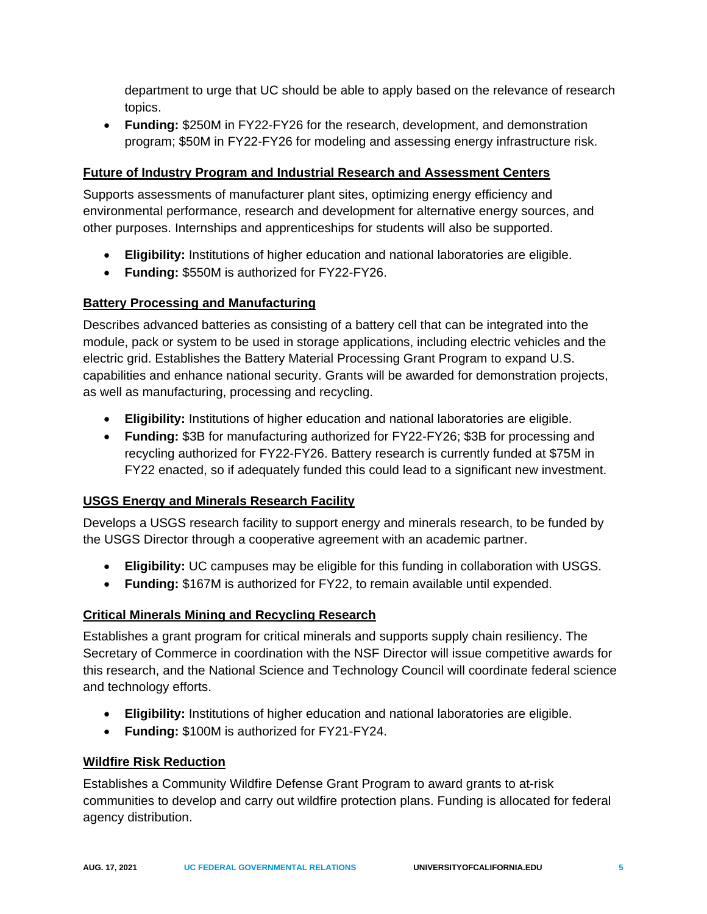department to urge that UC should be able to apply based on the relevance of research topics.

• **Funding:** \$250M in FY22-FY26 for the research, development, and demonstration program; \$50M in FY22-FY26 for modeling and assessing energy infrastructure risk.

#### **Future of Industry Program and Industrial Research and Assessment Centers**

Supports assessments of manufacturer plant sites, optimizing energy efficiency and environmental performance, research and development for alternative energy sources, and other purposes. Internships and apprenticeships for students will also be supported.

- **Eligibility:** Institutions of higher education and national laboratories are eligible.
- **Funding:** \$550M is authorized for FY22-FY26.

# **Battery Processing and Manufacturing**

Describes advanced batteries as consisting of a battery cell that can be integrated into the module, pack or system to be used in storage applications, including electric vehicles and the electric grid. Establishes the Battery Material Processing Grant Program to expand U.S. capabilities and enhance national security. Grants will be awarded for demonstration projects, as well as manufacturing, processing and recycling.

- **Eligibility:** Institutions of higher education and national laboratories are eligible.
- **Funding:** \$3B for manufacturing authorized for FY22-FY26; \$3B for processing and recycling authorized for FY22-FY26. Battery research is currently funded at \$75M in FY22 enacted, so if adequately funded this could lead to a significant new investment.

#### **USGS Energy and Minerals Research Facility**

Develops a USGS research facility to support energy and minerals research, to be funded by the USGS Director through a cooperative agreement with an academic partner.

- **Eligibility:** UC campuses may be eligible for this funding in collaboration with USGS.
- **Funding:** \$167M is authorized for FY22, to remain available until expended.

#### **Critical Minerals Mining and Recycling Research**

Establishes a grant program for critical minerals and supports supply chain resiliency. The Secretary of Commerce in coordination with the NSF Director will issue competitive awards for this research, and the National Science and Technology Council will coordinate federal science and technology efforts.

- **Eligibility:** Institutions of higher education and national laboratories are eligible.
- **Funding:** \$100M is authorized for FY21-FY24.

#### **Wildfire Risk Reduction**

Establishes a Community Wildfire Defense Grant Program to award grants to at-risk communities to develop and carry out wildfire protection plans. Funding is allocated for federal agency distribution.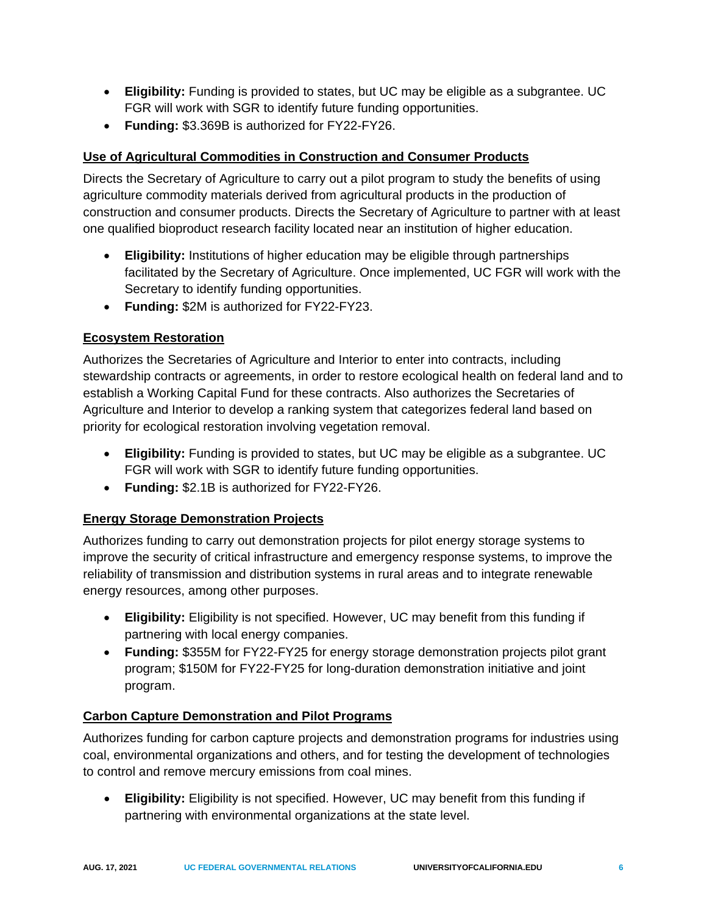- **Eligibility:** Funding is provided to states, but UC may be eligible as a subgrantee. UC FGR will work with SGR to identify future funding opportunities.
- **Funding:** \$3.369B is authorized for FY22-FY26.

# **Use of Agricultural Commodities in Construction and Consumer Products**

Directs the Secretary of Agriculture to carry out a pilot program to study the benefits of using agriculture commodity materials derived from agricultural products in the production of construction and consumer products. Directs the Secretary of Agriculture to partner with at least one qualified bioproduct research facility located near an institution of higher education.

- **Eligibility:** Institutions of higher education may be eligible through partnerships facilitated by the Secretary of Agriculture. Once implemented, UC FGR will work with the Secretary to identify funding opportunities.
- **Funding:** \$2M is authorized for FY22-FY23.

#### **Ecosystem Restoration**

Authorizes the Secretaries of Agriculture and Interior to enter into contracts, including stewardship contracts or agreements, in order to restore ecological health on federal land and to establish a Working Capital Fund for these contracts. Also authorizes the Secretaries of Agriculture and Interior to develop a ranking system that categorizes federal land based on priority for ecological restoration involving vegetation removal.

- **Eligibility:** Funding is provided to states, but UC may be eligible as a subgrantee. UC FGR will work with SGR to identify future funding opportunities.
- **Funding:** \$2.1B is authorized for FY22-FY26.

#### **Energy Storage Demonstration Projects**

Authorizes funding to carry out demonstration projects for pilot energy storage systems to improve the security of critical infrastructure and emergency response systems, to improve the reliability of transmission and distribution systems in rural areas and to integrate renewable energy resources, among other purposes.

- **Eligibility:** Eligibility is not specified. However, UC may benefit from this funding if partnering with local energy companies.
- **Funding:** \$355M for FY22-FY25 for energy storage demonstration projects pilot grant program; \$150M for FY22-FY25 for long-duration demonstration initiative and joint program.

#### **Carbon Capture Demonstration and Pilot Programs**

Authorizes funding for carbon capture projects and demonstration programs for industries using coal, environmental organizations and others, and for testing the development of technologies to control and remove mercury emissions from coal mines.

• **Eligibility:** Eligibility is not specified. However, UC may benefit from this funding if partnering with environmental organizations at the state level.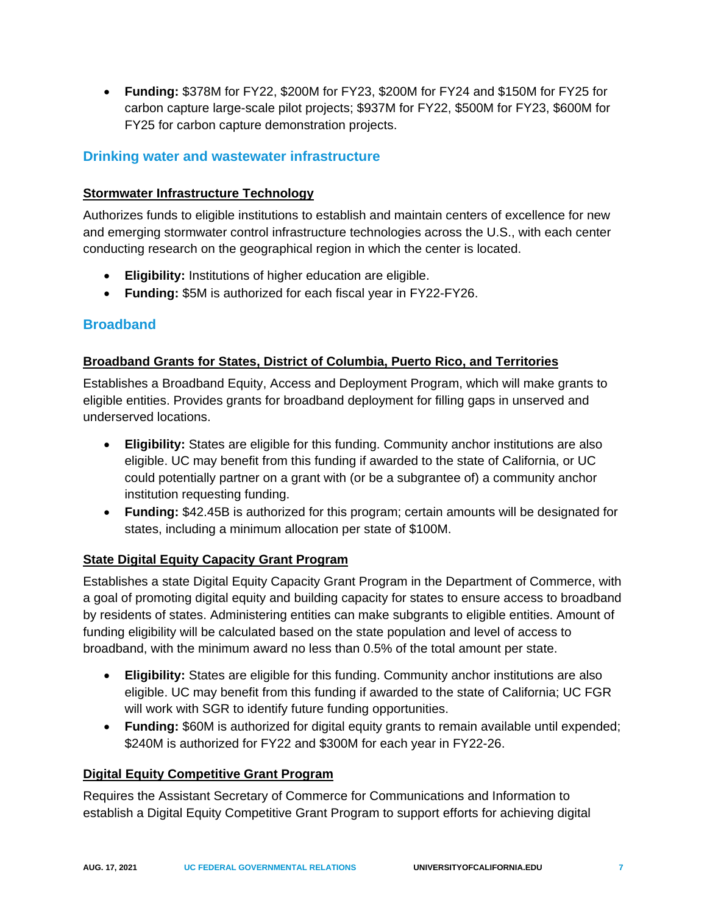• **Funding:** \$378M for FY22, \$200M for FY23, \$200M for FY24 and \$150M for FY25 for carbon capture large-scale pilot projects; \$937M for FY22, \$500M for FY23, \$600M for FY25 for carbon capture demonstration projects.

# **Drinking water and wastewater infrastructure**

#### **Stormwater Infrastructure Technology**

Authorizes funds to eligible institutions to establish and maintain centers of excellence for new and emerging stormwater control infrastructure technologies across the U.S., with each center conducting research on the geographical region in which the center is located.

- **Eligibility:** Institutions of higher education are eligible.
- **Funding:** \$5M is authorized for each fiscal year in FY22-FY26.

#### **Broadband**

#### **Broadband Grants for States, District of Columbia, Puerto Rico, and Territories**

Establishes a Broadband Equity, Access and Deployment Program, which will make grants to eligible entities. Provides grants for broadband deployment for filling gaps in unserved and underserved locations.

- **Eligibility:** States are eligible for this funding. Community anchor institutions are also eligible. UC may benefit from this funding if awarded to the state of California, or UC could potentially partner on a grant with (or be a subgrantee of) a community anchor institution requesting funding.
- **Funding:** \$42.45B is authorized for this program; certain amounts will be designated for states, including a minimum allocation per state of \$100M.

#### **State Digital Equity Capacity Grant Program**

Establishes a state Digital Equity Capacity Grant Program in the Department of Commerce, with a goal of promoting digital equity and building capacity for states to ensure access to broadband by residents of states. Administering entities can make subgrants to eligible entities. Amount of funding eligibility will be calculated based on the state population and level of access to broadband, with the minimum award no less than 0.5% of the total amount per state.

- **Eligibility:** States are eligible for this funding. Community anchor institutions are also eligible. UC may benefit from this funding if awarded to the state of California; UC FGR will work with SGR to identify future funding opportunities.
- **Funding:** \$60M is authorized for digital equity grants to remain available until expended; \$240M is authorized for FY22 and \$300M for each year in FY22-26.

#### **Digital Equity Competitive Grant Program**

Requires the Assistant Secretary of Commerce for Communications and Information to establish a Digital Equity Competitive Grant Program to support efforts for achieving digital